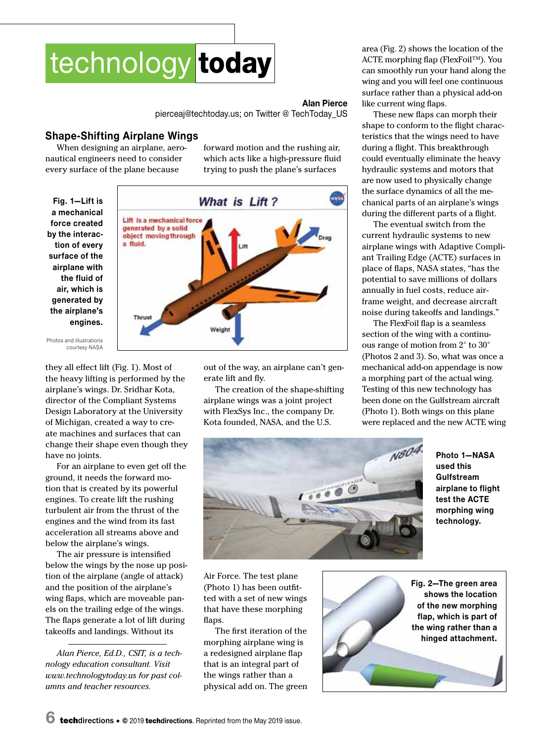

## **Alan Pierce**

[pierceaj@techtoday.us;](mailto:pierceaj@techtoday.us) on [Twitter @ TechToday\\_US](http://www.twitter.com/TechToday_US)

## **Shape-Shifting Airplane Wings**

When designing an airplane, aeronautical engineers need to consider every surface of the plane because

forward motion and the rushing air, which acts like a high-pressure fluid trying to push the plane's surfaces





Photos and illustrations courtesy NASA

they all effect lift (Fig. 1). Most of the heavy lifting is performed by the airplane's wings. Dr. Sridhar Kota, director of the Compliant Systems Design Laboratory at the University of Michigan, created a way to create machines and surfaces that can change their shape even though they have no joints.

For an airplane to even get off the ground, it needs the forward motion that is created by its powerful engines. To create lift the rushing turbulent air from the thrust of the engines and the wind from its fast acceleration all streams above and below the airplane's wings.

The air pressure is intensified below the wings by the nose up position of the airplane (angle of attack) and the position of the airplane's wing flaps, which are moveable panels on the trailing edge of the wings. The flaps generate a lot of lift during takeoffs and landings. Without its

*Alan Pierce, Ed.D., CSIT, is a technology education consultant. Visit www.technologytoday.us for past columns and teacher resources.*

out of the way, an airplane can't generate lift and fly.

The creation of the shape-shifting airplane wings was a joint project with FlexSys Inc., the company Dr. Kota founded, NASA, and the U.S.

area (Fig. 2) shows the location of the ACTE morphing flap (FlexFoil™). You can smoothly run your hand along the wing and you will feel one continuous surface rather than a physical add-on like current wing flaps.

These new flaps can morph their shape to conform to the flight characteristics that the wings need to have during a flight. This breakthrough could eventually eliminate the heavy hydraulic systems and motors that are now used to physically change the surface dynamics of all the mechanical parts of an airplane's wings during the different parts of a flight.

The eventual switch from the current hydraulic systems to new airplane wings with Adaptive Compliant Trailing Edge (ACTE) surfaces in place of flaps, NASA states, "has the potential to save millions of dollars annually in fuel costs, reduce airframe weight, and decrease aircraft noise during takeoffs and landings."

The FlexFoil flap is a seamless section of the wing with a continuous range of motion from 2° to 30° (Photos 2 and 3). So, what was once a mechanical add-on appendage is now a morphing part of the actual wing. Testing of this new technology has been done on the Gulfstream aircraft (Photo 1). Both wings on this plane were replaced and the new ACTE wing



**Photo 1—NASA used this Gulfstream airplane to flight test the ACTE morphing wing technology.**

Air Force. The test plane (Photo 1) has been outfitted with a set of new wings that have these morphing flaps.

The first iteration of the morphing airplane wing is a redesigned airplane flap that is an integral part of the wings rather than a physical add on. The green